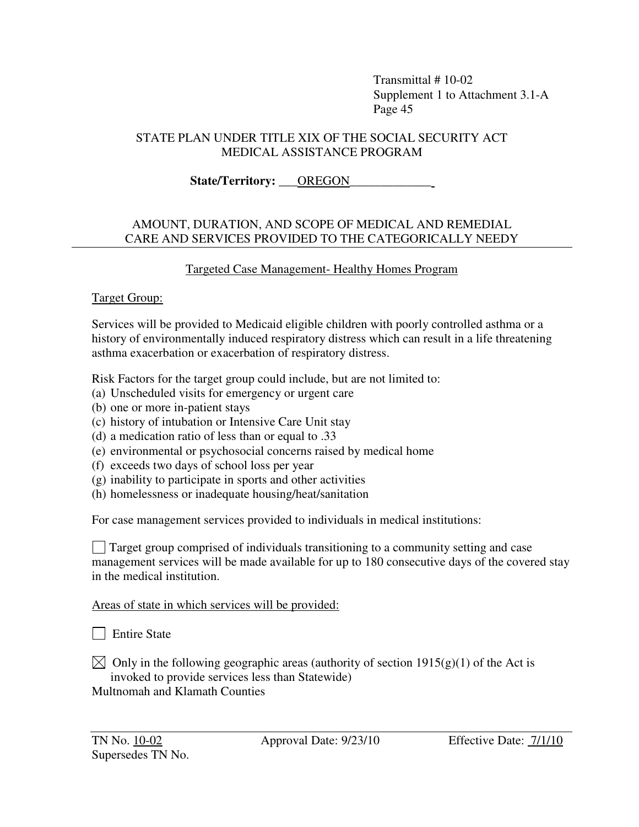#### STATE PLAN UNDER TITLE XIX OF THE SOCIAL SECURITY ACT MEDICAL ASSISTANCE PROGRAM

State/Territory: **QREGON** 

#### AMOUNT, DURATION, AND SCOPE OF MEDICAL AND REMEDIAL CARE AND SERVICES PROVIDED TO THE CATEGORICALLY NEEDY

## Targeted Case Management- Healthy Homes Program

#### Target Group:

Services will be provided to Medicaid eligible children with poorly controlled asthma or a history of environmentally induced respiratory distress which can result in a life threatening asthma exacerbation or exacerbation of respiratory distress.

Risk Factors for the target group could include, but are not limited to:

- (a) Unscheduled visits for emergency or urgent care
- (b) one or more in-patient stays
- (c) history of intubation or Intensive Care Unit stay
- (d) a medication ratio of less than or equal to .33
- (e) environmental or psychosocial concerns raised by medical home
- (f) exceeds two days of school loss per year
- (g) inability to participate in sports and other activities
- (h) homelessness or inadequate housing/heat/sanitation

For case management services provided to individuals in medical institutions:

 Target group comprised of individuals transitioning to a community setting and case management services will be made available for up to 180 consecutive days of the covered stay in the medical institution.

Areas of state in which services will be provided:

| Entire State

 $\boxtimes$  Only in the following geographic areas (authority of section 1915(g)(1) of the Act is invoked to provide services less than Statewide) Multnomah and Klamath Counties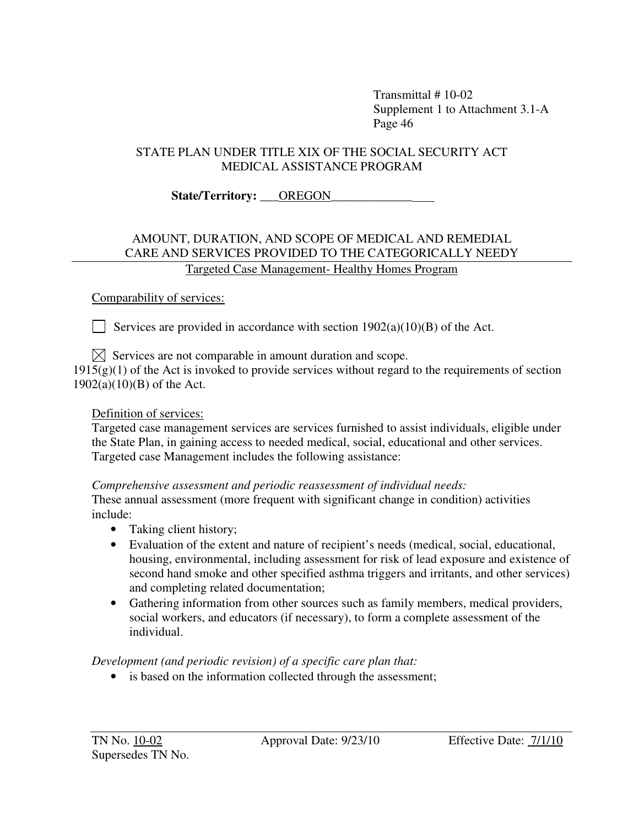### STATE PLAN UNDER TITLE XIX OF THE SOCIAL SECURITY ACT MEDICAL ASSISTANCE PROGRAM

# State/Territory: **OREGON**

#### AMOUNT, DURATION, AND SCOPE OF MEDICAL AND REMEDIAL CARE AND SERVICES PROVIDED TO THE CATEGORICALLY NEEDY Targeted Case Management- Healthy Homes Program

#### Comparability of services:

Services are provided in accordance with section  $1902(a)(10)(B)$  of the Act.

 $\boxtimes$  Services are not comparable in amount duration and scope.

 $1915(g)(1)$  of the Act is invoked to provide services without regard to the requirements of section 1902(a)(10)(B) of the Act.

#### Definition of services:

Targeted case management services are services furnished to assist individuals, eligible under the State Plan, in gaining access to needed medical, social, educational and other services. Targeted case Management includes the following assistance:

#### *Comprehensive assessment and periodic reassessment of individual needs:*

These annual assessment (more frequent with significant change in condition) activities include:

- Taking client history;
- Evaluation of the extent and nature of recipient's needs (medical, social, educational, housing, environmental, including assessment for risk of lead exposure and existence of second hand smoke and other specified asthma triggers and irritants, and other services) and completing related documentation;
- Gathering information from other sources such as family members, medical providers, social workers, and educators (if necessary), to form a complete assessment of the individual.

# *Development (and periodic revision) of a specific care plan that:*

• is based on the information collected through the assessment;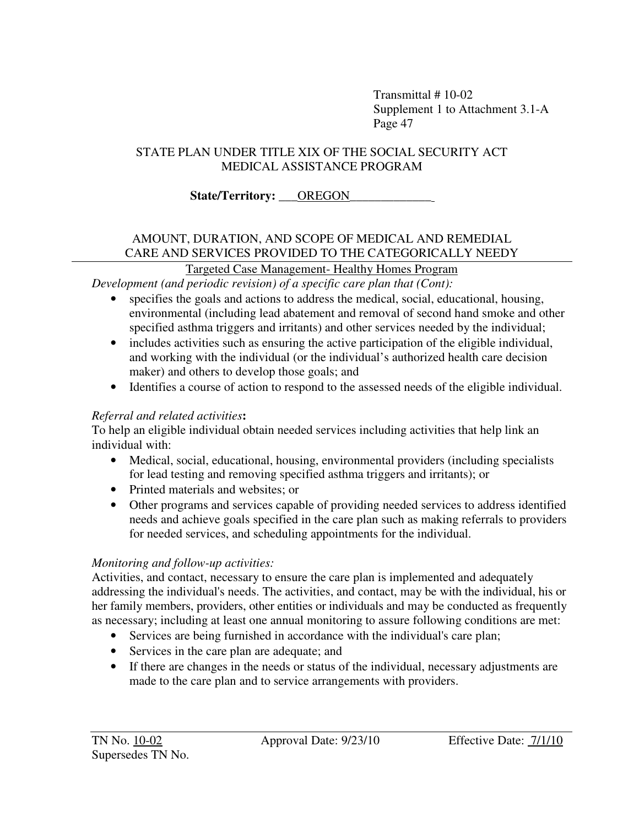## STATE PLAN UNDER TITLE XIX OF THE SOCIAL SECURITY ACT MEDICAL ASSISTANCE PROGRAM

# State/Territory: **OREGON**

# AMOUNT, DURATION, AND SCOPE OF MEDICAL AND REMEDIAL CARE AND SERVICES PROVIDED TO THE CATEGORICALLY NEEDY

# Targeted Case Management- Healthy Homes Program

*Development (and periodic revision) of a specific care plan that (Cont):*

- specifies the goals and actions to address the medical, social, educational, housing, environmental (including lead abatement and removal of second hand smoke and other specified asthma triggers and irritants) and other services needed by the individual;
- includes activities such as ensuring the active participation of the eligible individual, and working with the individual (or the individual's authorized health care decision maker) and others to develop those goals; and
- Identifies a course of action to respond to the assessed needs of the eligible individual.

# *Referral and related activities***:**

To help an eligible individual obtain needed services including activities that help link an individual with:

- Medical, social, educational, housing, environmental providers (including specialists for lead testing and removing specified asthma triggers and irritants); or
- Printed materials and websites; or
- Other programs and services capable of providing needed services to address identified needs and achieve goals specified in the care plan such as making referrals to providers for needed services, and scheduling appointments for the individual.

# *Monitoring and follow-up activities:*

Activities, and contact, necessary to ensure the care plan is implemented and adequately addressing the individual's needs. The activities, and contact, may be with the individual, his or her family members, providers, other entities or individuals and may be conducted as frequently as necessary; including at least one annual monitoring to assure following conditions are met:

- Services are being furnished in accordance with the individual's care plan;
- Services in the care plan are adequate; and
- If there are changes in the needs or status of the individual, necessary adjustments are made to the care plan and to service arrangements with providers.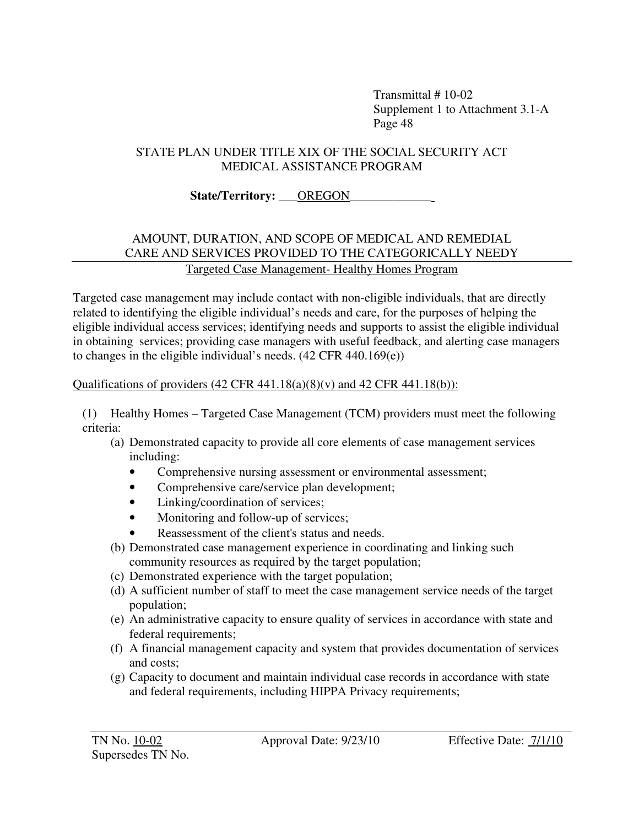#### STATE PLAN UNDER TITLE XIX OF THE SOCIAL SECURITY ACT MEDICAL ASSISTANCE PROGRAM

## State/Territory: **OREGON**

#### AMOUNT, DURATION, AND SCOPE OF MEDICAL AND REMEDIAL CARE AND SERVICES PROVIDED TO THE CATEGORICALLY NEEDY Targeted Case Management- Healthy Homes Program

Targeted case management may include contact with non-eligible individuals, that are directly related to identifying the eligible individual's needs and care, for the purposes of helping the eligible individual access services; identifying needs and supports to assist the eligible individual in obtaining services; providing case managers with useful feedback, and alerting case managers to changes in the eligible individual's needs. (42 CFR 440.169(e))

#### Qualifications of providers  $(42 \text{ CFR } 441.18(a)(8)(v)$  and  $42 \text{ CFR } 441.18(b))$ :

(1) Healthy Homes – Targeted Case Management (TCM) providers must meet the following criteria:

- (a) Demonstrated capacity to provide all core elements of case management services including:
	- Comprehensive nursing assessment or environmental assessment;
	- Comprehensive care/service plan development;
	- Linking/coordination of services;
	- Monitoring and follow-up of services;
	- Reassessment of the client's status and needs.
- (b) Demonstrated case management experience in coordinating and linking such community resources as required by the target population;
- (c) Demonstrated experience with the target population;
- (d) A sufficient number of staff to meet the case management service needs of the target population;
- (e) An administrative capacity to ensure quality of services in accordance with state and federal requirements;
- (f) A financial management capacity and system that provides documentation of services and costs;
- (g) Capacity to document and maintain individual case records in accordance with state and federal requirements, including HIPPA Privacy requirements;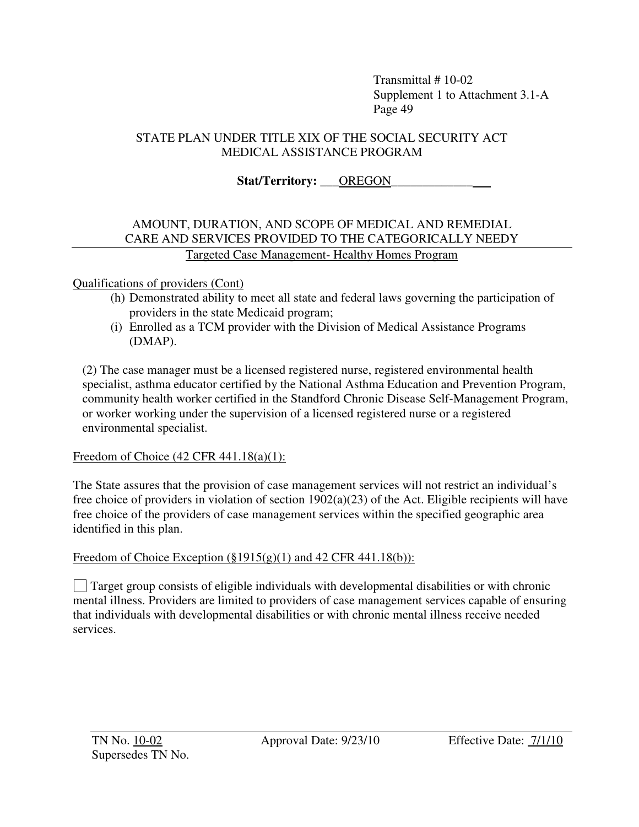#### STATE PLAN UNDER TITLE XIX OF THE SOCIAL SECURITY ACT MEDICAL ASSISTANCE PROGRAM

 **Stat/Territory:** \_\_\_OREGON\_\_\_\_\_\_\_\_\_\_\_\_\_

#### AMOUNT, DURATION, AND SCOPE OF MEDICAL AND REMEDIAL CARE AND SERVICES PROVIDED TO THE CATEGORICALLY NEEDY Targeted Case Management- Healthy Homes Program

#### Qualifications of providers (Cont)

- (h) Demonstrated ability to meet all state and federal laws governing the participation of providers in the state Medicaid program;
- (i) Enrolled as a TCM provider with the Division of Medical Assistance Programs (DMAP).

(2) The case manager must be a licensed registered nurse, registered environmental health specialist, asthma educator certified by the National Asthma Education and Prevention Program, community health worker certified in the Standford Chronic Disease Self-Management Program, or worker working under the supervision of a licensed registered nurse or a registered environmental specialist.

#### Freedom of Choice (42 CFR 441.18(a)(1):

The State assures that the provision of case management services will not restrict an individual's free choice of providers in violation of section 1902(a)(23) of the Act. Eligible recipients will have free choice of the providers of case management services within the specified geographic area identified in this plan.

#### Freedom of Choice Exception  $(\S1915(g)(1)$  and 42 CFR 441.18(b)):

 $\Box$  Target group consists of eligible individuals with developmental disabilities or with chronic mental illness. Providers are limited to providers of case management services capable of ensuring that individuals with developmental disabilities or with chronic mental illness receive needed services.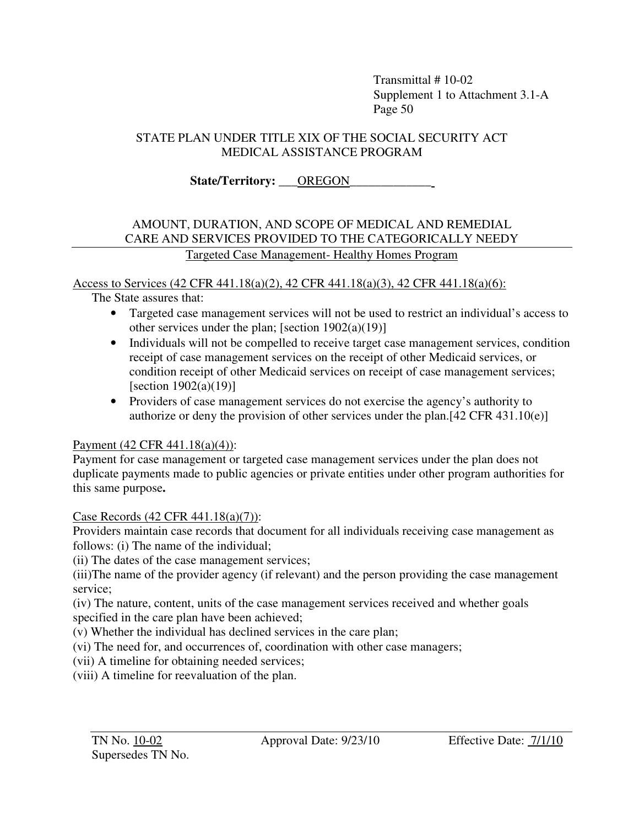#### STATE PLAN UNDER TITLE XIX OF THE SOCIAL SECURITY ACT MEDICAL ASSISTANCE PROGRAM

State/Territory: **QREGON** 

#### AMOUNT, DURATION, AND SCOPE OF MEDICAL AND REMEDIAL CARE AND SERVICES PROVIDED TO THE CATEGORICALLY NEEDY Targeted Case Management- Healthy Homes Program

Access to Services (42 CFR 441.18(a)(2), 42 CFR 441.18(a)(3), 42 CFR 441.18(a)(6):

The State assures that:

- Targeted case management services will not be used to restrict an individual's access to other services under the plan; [section 1902(a)(19)]
- Individuals will not be compelled to receive target case management services, condition receipt of case management services on the receipt of other Medicaid services, or condition receipt of other Medicaid services on receipt of case management services; [section  $1902(a)(19)$ ]
- Providers of case management services do not exercise the agency's authority to authorize or deny the provision of other services under the plan.[42 CFR 431.10(e)]

# Payment (42 CFR 441.18(a)(4)):

Payment for case management or targeted case management services under the plan does not duplicate payments made to public agencies or private entities under other program authorities for this same purpose**.** 

# Case Records (42 CFR 441.18(a)(7)):

Providers maintain case records that document for all individuals receiving case management as follows: (i) The name of the individual;

(ii) The dates of the case management services;

(iii)The name of the provider agency (if relevant) and the person providing the case management service;

(iv) The nature, content, units of the case management services received and whether goals specified in the care plan have been achieved;

(v) Whether the individual has declined services in the care plan;

(vi) The need for, and occurrences of, coordination with other case managers;

(vii) A timeline for obtaining needed services;

(viii) A timeline for reevaluation of the plan.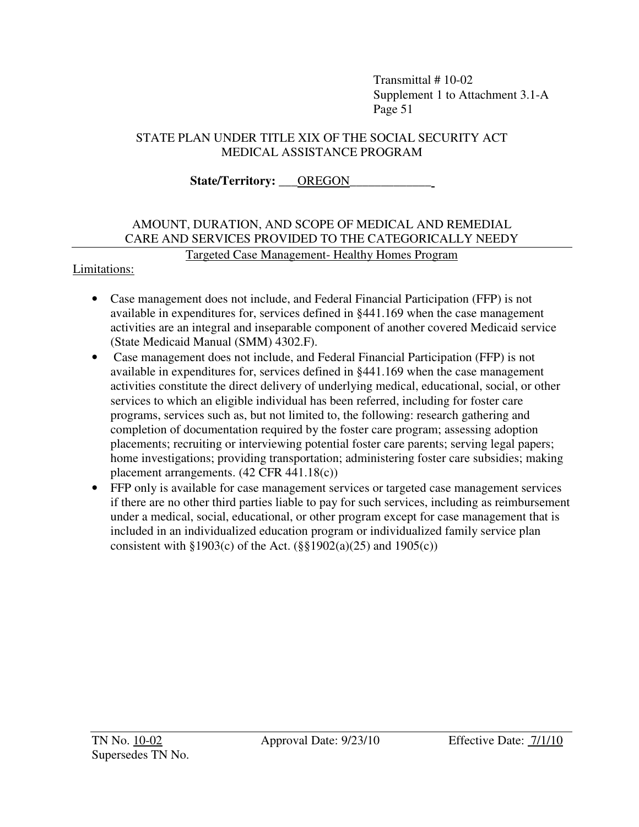#### STATE PLAN UNDER TITLE XIX OF THE SOCIAL SECURITY ACT MEDICAL ASSISTANCE PROGRAM

State/Territory: **QREGON** 

# AMOUNT, DURATION, AND SCOPE OF MEDICAL AND REMEDIAL CARE AND SERVICES PROVIDED TO THE CATEGORICALLY NEEDY

# Targeted Case Management- Healthy Homes Program

#### Limitations:

- Case management does not include, and Federal Financial Participation (FFP) is not available in expenditures for, services defined in §441.169 when the case management activities are an integral and inseparable component of another covered Medicaid service (State Medicaid Manual (SMM) 4302.F).
- Case management does not include, and Federal Financial Participation (FFP) is not available in expenditures for, services defined in §441.169 when the case management activities constitute the direct delivery of underlying medical, educational, social, or other services to which an eligible individual has been referred, including for foster care programs, services such as, but not limited to, the following: research gathering and completion of documentation required by the foster care program; assessing adoption placements; recruiting or interviewing potential foster care parents; serving legal papers; home investigations; providing transportation; administering foster care subsidies; making placement arrangements. (42 CFR 441.18(c))
- FFP only is available for case management services or targeted case management services if there are no other third parties liable to pay for such services, including as reimbursement under a medical, social, educational, or other program except for case management that is included in an individualized education program or individualized family service plan consistent with  $\S 1903(c)$  of the Act. ( $\S \ \ 1902(a)(25)$  and  $1905(c)$ )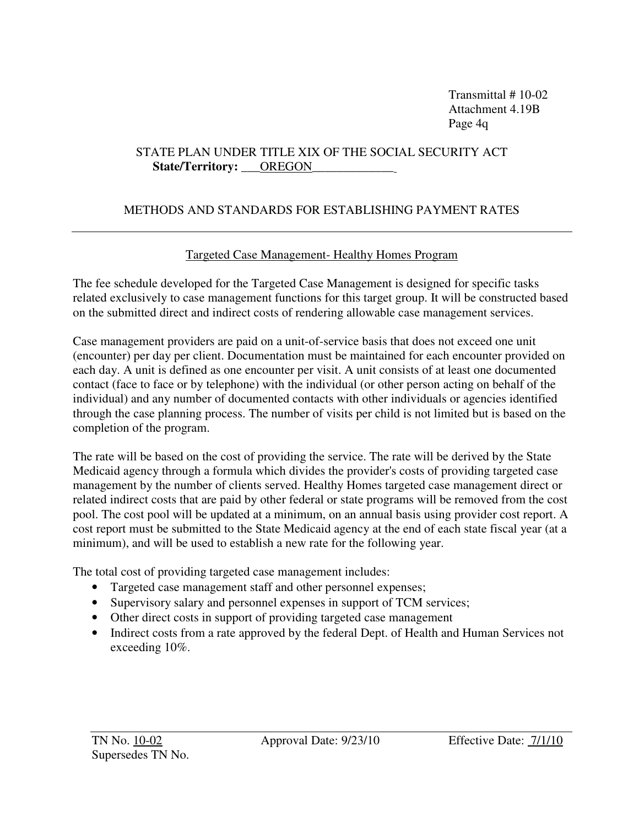Transmittal # 10-02 Attachment 4.19B Page 4q

#### STATE PLAN UNDER TITLE XIX OF THE SOCIAL SECURITY ACT State/Territory: <u>\_\_\_OREGON</u>

#### METHODS AND STANDARDS FOR ESTABLISHING PAYMENT RATES

#### Targeted Case Management- Healthy Homes Program

The fee schedule developed for the Targeted Case Management is designed for specific tasks related exclusively to case management functions for this target group. It will be constructed based on the submitted direct and indirect costs of rendering allowable case management services.

Case management providers are paid on a unit-of-service basis that does not exceed one unit (encounter) per day per client. Documentation must be maintained for each encounter provided on each day. A unit is defined as one encounter per visit. A unit consists of at least one documented contact (face to face or by telephone) with the individual (or other person acting on behalf of the individual) and any number of documented contacts with other individuals or agencies identified through the case planning process. The number of visits per child is not limited but is based on the completion of the program.

The rate will be based on the cost of providing the service. The rate will be derived by the State Medicaid agency through a formula which divides the provider's costs of providing targeted case management by the number of clients served. Healthy Homes targeted case management direct or related indirect costs that are paid by other federal or state programs will be removed from the cost pool. The cost pool will be updated at a minimum, on an annual basis using provider cost report. A cost report must be submitted to the State Medicaid agency at the end of each state fiscal year (at a minimum), and will be used to establish a new rate for the following year.

The total cost of providing targeted case management includes:

- Targeted case management staff and other personnel expenses;
- Supervisory salary and personnel expenses in support of TCM services;
- Other direct costs in support of providing targeted case management
- Indirect costs from a rate approved by the federal Dept. of Health and Human Services not exceeding 10%.